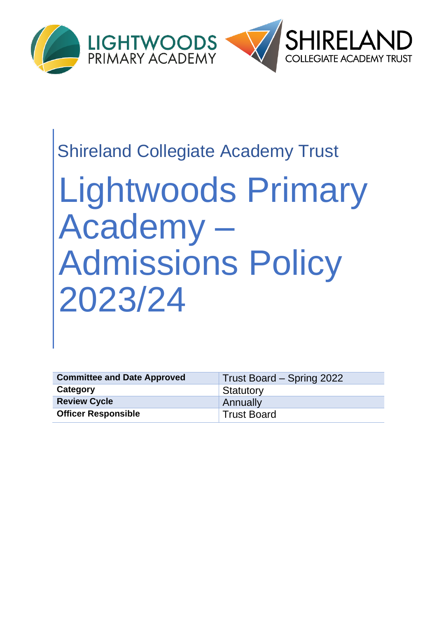

# Shireland Collegiate Academy Trust

# Lightwoods Primary Academy – Admissions Policy 2023/24

| <b>Committee and Date Approved</b> | Trust Board – Spring 2022 |
|------------------------------------|---------------------------|
| Category                           | Statutory                 |
| <b>Review Cycle</b>                | Annually                  |
| <b>Officer Responsible</b>         | <b>Trust Board</b>        |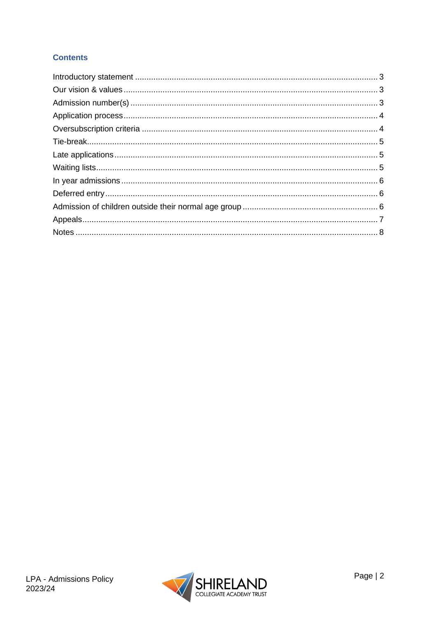#### **Contents**

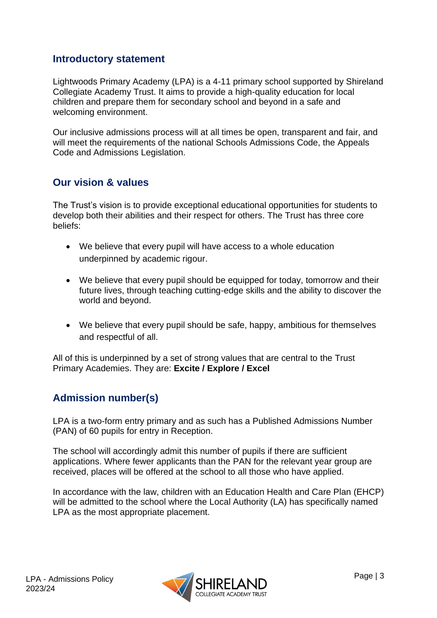#### <span id="page-2-0"></span>**Introductory statement**

Lightwoods Primary Academy (LPA) is a 4-11 primary school supported by Shireland Collegiate Academy Trust. It aims to provide a high-quality education for local children and prepare them for secondary school and beyond in a safe and welcoming environment.

Our inclusive admissions process will at all times be open, transparent and fair, and will meet the requirements of the national Schools Admissions Code, the Appeals Code and Admissions Legislation.

#### <span id="page-2-1"></span>**Our vision & values**

The Trust's vision is to provide exceptional educational opportunities for students to develop both their abilities and their respect for others. The Trust has three core beliefs:

- We believe that every pupil will have access to a whole education underpinned by academic rigour.
- We believe that every pupil should be equipped for today, tomorrow and their future lives, through teaching cutting-edge skills and the ability to discover the world and beyond.
- We believe that every pupil should be safe, happy, ambitious for themselves and respectful of all.

All of this is underpinned by a set of strong values that are central to the Trust Primary Academies. They are: **Excite / Explore / Excel**

### <span id="page-2-2"></span>**Admission number(s)**

LPA is a two-form entry primary and as such has a Published Admissions Number (PAN) of 60 pupils for entry in Reception.

The school will accordingly admit this number of pupils if there are sufficient applications. Where fewer applicants than the PAN for the relevant year group are received, places will be offered at the school to all those who have applied.

In accordance with the law, children with an Education Health and Care Plan (EHCP) will be admitted to the school where the Local Authority (LA) has specifically named LPA as the most appropriate placement.

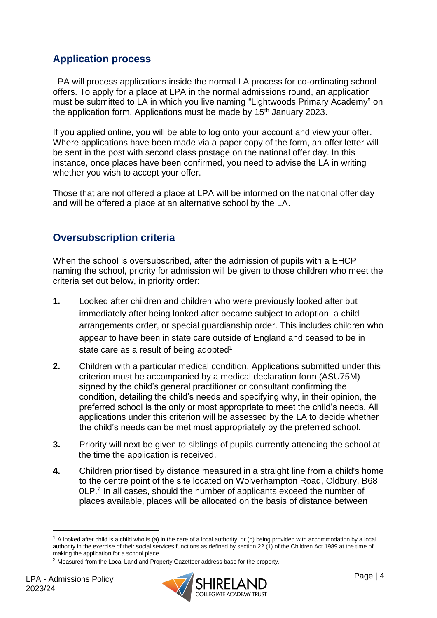## <span id="page-3-0"></span>**Application process**

LPA will process applications inside the normal LA process for co-ordinating school offers. To apply for a place at LPA in the normal admissions round, an application must be submitted to LA in which you live naming "Lightwoods Primary Academy" on the application form. Applications must be made by  $15<sup>th</sup>$  January 2023.

If you applied online, you will be able to log onto your account and view your offer. Where applications have been made via a paper copy of the form, an offer letter will be sent in the post with second class postage on the national offer day. In this instance, once places have been confirmed, you need to advise the LA in writing whether you wish to accept your offer.

Those that are not offered a place at LPA will be informed on the national offer day and will be offered a place at an alternative school by the LA.

### <span id="page-3-1"></span>**Oversubscription criteria**

When the school is oversubscribed, after the admission of pupils with a EHCP naming the school, priority for admission will be given to those children who meet the criteria set out below, in priority order:

- **1.** Looked after children and children who were previously looked after but immediately after being looked after became subject to adoption, a child arrangements order, or special guardianship order. This includes children who appear to have been in state care outside of England and ceased to be in state care as a result of being adopted<sup>1</sup>
- **2.** Children with a particular medical condition. Applications submitted under this criterion must be accompanied by a medical declaration form (ASU75M) signed by the child's general practitioner or consultant confirming the condition, detailing the child's needs and specifying why, in their opinion, the preferred school is the only or most appropriate to meet the child's needs. All applications under this criterion will be assessed by the LA to decide whether the child's needs can be met most appropriately by the preferred school.
- **3.** Priority will next be given to siblings of pupils currently attending the school at the time the application is received.
- **4.** Children prioritised by distance measured in a straight line from a child's home to the centre point of the site located on Wolverhampton Road, Oldbury, B68 0LP. 2 In all cases, should the number of applicants exceed the number of places available, places will be allocated on the basis of distance between



 $1$  A looked after child is a child who is (a) in the care of a local authority, or (b) being provided with accommodation by a local authority in the exercise of their social services functions as defined by section 22 (1) of the Children Act 1989 at the time of making the application for a school place.

<sup>2</sup> Measured from the Local Land and Property Gazetteer address base for the property.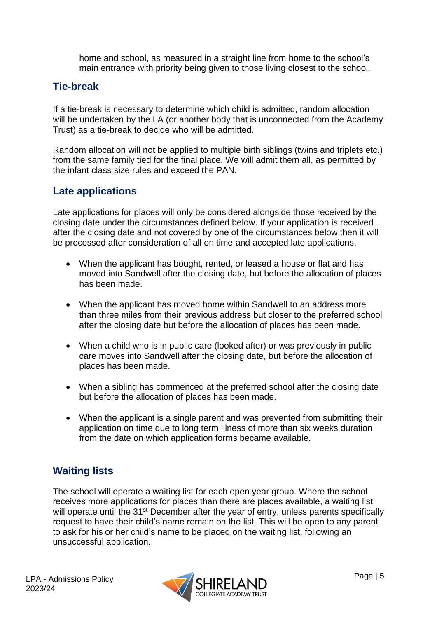home and school, as measured in a straight line from home to the school's main entrance with priority being given to those living closest to the school.

#### <span id="page-4-0"></span>**Tie-break**

If a tie-break is necessary to determine which child is admitted, random allocation will be undertaken by the LA (or another body that is unconnected from the Academy Trust) as a tie-break to decide who will be admitted.

Random allocation will not be applied to multiple birth siblings (twins and triplets etc.) from the same family tied for the final place. We will admit them all, as permitted by the infant class size rules and exceed the PAN.

#### <span id="page-4-1"></span>**Late applications**

Late applications for places will only be considered alongside those received by the closing date under the circumstances defined below. If your application is received after the closing date and not covered by one of the circumstances below then it will be processed after consideration of all on time and accepted late applications.

- When the applicant has bought, rented, or leased a house or flat and has moved into Sandwell after the closing date, but before the allocation of places has been made.
- When the applicant has moved home within Sandwell to an address more than three miles from their previous address but closer to the preferred school after the closing date but before the allocation of places has been made.
- When a child who is in public care (looked after) or was previously in public care moves into Sandwell after the closing date, but before the allocation of places has been made.
- When a sibling has commenced at the preferred school after the closing date but before the allocation of places has been made.
- When the applicant is a single parent and was prevented from submitting their application on time due to long term illness of more than six weeks duration from the date on which application forms became available.

### <span id="page-4-2"></span>**Waiting lists**

The school will operate a waiting list for each open year group. Where the school receives more applications for places than there are places available, a waiting list will operate until the 31<sup>st</sup> December after the year of entry, unless parents specifically request to have their child's name remain on the list. This will be open to any parent to ask for his or her child's name to be placed on the waiting list, following an unsuccessful application.

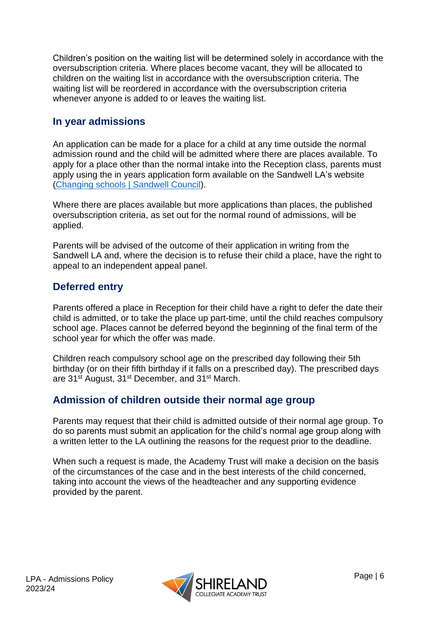Children's position on the waiting list will be determined solely in accordance with the oversubscription criteria. Where places become vacant, they will be allocated to children on the waiting list in accordance with the oversubscription criteria. The waiting list will be reordered in accordance with the oversubscription criteria whenever anyone is added to or leaves the waiting list.

#### <span id="page-5-0"></span>**In year admissions**

An application can be made for a place for a child at any time outside the normal admission round and the child will be admitted where there are places available. To apply for a place other than the normal intake into the Reception class, parents must apply using the in years application form available on the Sandwell LA's website [\(Changing schools | Sandwell Council\)](https://www.sandwell.gov.uk/info/200303/school_admissions/2053/changing_schools).

Where there are places available but more applications than places, the published oversubscription criteria, as set out for the normal round of admissions, will be applied.

Parents will be advised of the outcome of their application in writing from the Sandwell LA and, where the decision is to refuse their child a place, have the right to appeal to an independent appeal panel.

#### <span id="page-5-1"></span>**Deferred entry**

Parents offered a place in Reception for their child have a right to defer the date their child is admitted, or to take the place up part-time, until the child reaches compulsory school age. Places cannot be deferred beyond the beginning of the final term of the school year for which the offer was made.

Children reach compulsory school age on the prescribed day following their 5th birthday (or on their fifth birthday if it falls on a prescribed day). The prescribed days are 31<sup>st</sup> August, 31<sup>st</sup> December, and 31<sup>st</sup> March.

#### <span id="page-5-2"></span>**Admission of children outside their normal age group**

Parents may request that their child is admitted outside of their normal age group. To do so parents must submit an application for the child's normal age group along with a written letter to the LA outlining the reasons for the request prior to the deadline.

When such a request is made, the Academy Trust will make a decision on the basis of the circumstances of the case and in the best interests of the child concerned, taking into account the views of the headteacher and any supporting evidence provided by the parent.

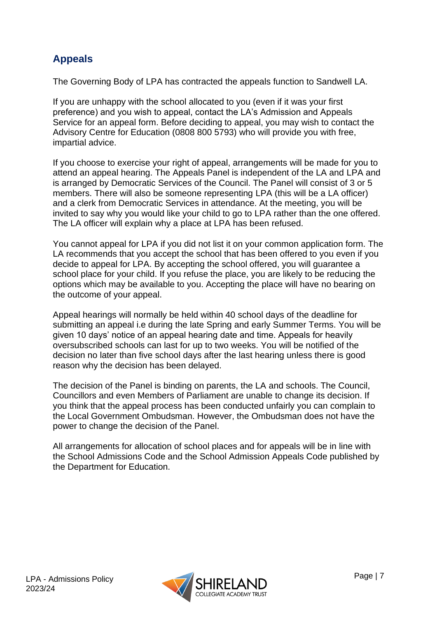# <span id="page-6-0"></span>**Appeals**

The Governing Body of LPA has contracted the appeals function to Sandwell LA.

If you are unhappy with the school allocated to you (even if it was your first preference) and you wish to appeal, contact the LA's Admission and Appeals Service for an appeal form. Before deciding to appeal, you may wish to contact the Advisory Centre for Education (0808 800 5793) who will provide you with free, impartial advice.

If you choose to exercise your right of appeal, arrangements will be made for you to attend an appeal hearing. The Appeals Panel is independent of the LA and LPA and is arranged by Democratic Services of the Council. The Panel will consist of 3 or 5 members. There will also be someone representing LPA (this will be a LA officer) and a clerk from Democratic Services in attendance. At the meeting, you will be invited to say why you would like your child to go to LPA rather than the one offered. The LA officer will explain why a place at LPA has been refused.

You cannot appeal for LPA if you did not list it on your common application form. The LA recommends that you accept the school that has been offered to you even if you decide to appeal for LPA. By accepting the school offered, you will guarantee a school place for your child. If you refuse the place, you are likely to be reducing the options which may be available to you. Accepting the place will have no bearing on the outcome of your appeal.

Appeal hearings will normally be held within 40 school days of the deadline for submitting an appeal i.e during the late Spring and early Summer Terms. You will be given 10 days' notice of an appeal hearing date and time. Appeals for heavily oversubscribed schools can last for up to two weeks. You will be notified of the decision no later than five school days after the last hearing unless there is good reason why the decision has been delayed.

The decision of the Panel is binding on parents, the LA and schools. The Council, Councillors and even Members of Parliament are unable to change its decision. If you think that the appeal process has been conducted unfairly you can complain to the Local Government Ombudsman. However, the Ombudsman does not have the power to change the decision of the Panel.

All arrangements for allocation of school places and for appeals will be in line with the School Admissions Code and the School Admission Appeals Code published by the Department for Education.